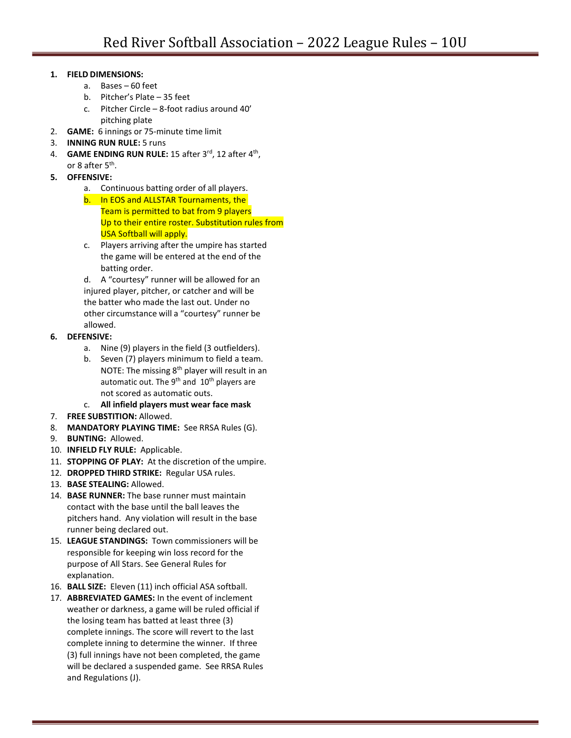## **1. FIELD DIMENSIONS:**

- a. Bases 60 feet
- b. Pitcher's Plate 35 feet
- c. Pitcher Circle 8-foot radius around 40' pitching plate
- 2. **GAME:** 6 innings or 75-minute time limit
- 3. **INNING RUN RULE:** 5 runs
- 4. **GAME ENDING RUN RULE:** 15 after 3rd, 12 after 4th, or 8 after 5<sup>th</sup>.
- **5. OFFENSIVE:**
	- a. Continuous batting order of all players.
	- b. In EOS and ALLSTAR Tournaments, the Team is permitted to bat from 9 players Up to their entire roster. Substitution rules from USA Softball will apply.
	- c. Players arriving after the umpire has started the game will be entered at the end of the batting order.

d. A "courtesy" runner will be allowed for an injured player, pitcher, or catcher and will be the batter who made the last out. Under no other circumstance will a "courtesy" runner be allowed.

- **6. DEFENSIVE:**
	- a. Nine (9) players in the field (3 outfielders).
	- b. Seven (7) players minimum to field a team. NOTE: The missing  $8<sup>th</sup>$  player will result in an automatic out. The  $9<sup>th</sup>$  and  $10<sup>th</sup>$  players are not scored as automatic outs.
	- c. **All infield players must wear face mask**
- 7. **FREE SUBSTITION:** Allowed.
- 8. **MANDATORY PLAYING TIME:** See RRSA Rules (G).
- 9. **BUNTING:** Allowed.
- 10. **INFIELD FLY RULE:** Applicable.
- 11. **STOPPING OF PLAY:** At the discretion of the umpire.
- 12. **DROPPED THIRD STRIKE:** Regular USA rules.
- 13. **BASE STEALING:** Allowed.
- 14. **BASE RUNNER:** The base runner must maintain contact with the base until the ball leaves the pitchers hand. Any violation will result in the base runner being declared out.
- 15. **LEAGUE STANDINGS:** Town commissioners will be responsible for keeping win loss record for the purpose of All Stars. See General Rules for explanation.
- 16. **BALL SIZE:** Eleven (11) inch official ASA softball.
- 17. **ABBREVIATED GAMES:** In the event of inclement weather or darkness, a game will be ruled official if the losing team has batted at least three (3) complete innings. The score will revert to the last complete inning to determine the winner. If three (3) full innings have not been completed, the game will be declared a suspended game. See RRSA Rules and Regulations (J).